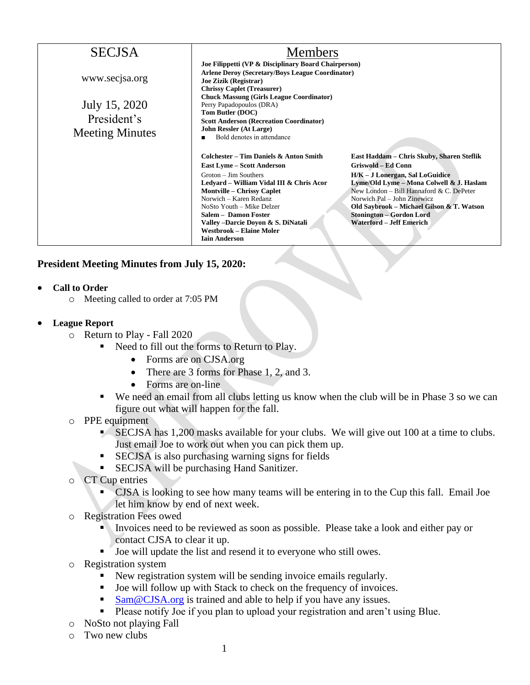| <b>SECJSA</b>                                          | <b>Members</b>                                                                                                                                                                                                                                                                                                                                                           |                                                                                                                                                                                                                                                                                                                                       |
|--------------------------------------------------------|--------------------------------------------------------------------------------------------------------------------------------------------------------------------------------------------------------------------------------------------------------------------------------------------------------------------------------------------------------------------------|---------------------------------------------------------------------------------------------------------------------------------------------------------------------------------------------------------------------------------------------------------------------------------------------------------------------------------------|
| www.secjsa.org                                         | Joe Filippetti (VP & Disciplinary Board Chairperson)<br><b>Arlene Deroy (Secretary/Boys League Coordinator)</b><br><b>Joe Zizik (Registrar)</b><br><b>Chrissy Caplet (Treasurer)</b>                                                                                                                                                                                     |                                                                                                                                                                                                                                                                                                                                       |
| July 15, 2020<br>President's<br><b>Meeting Minutes</b> | <b>Chuck Massung (Girls League Coordinator)</b><br>Perry Papadopoulos (DRA)<br>Tom Butler (DOC)<br><b>Scott Anderson (Recreation Coordinator)</b><br><b>John Ressler (At Large)</b><br>Bold denotes in attendance                                                                                                                                                        |                                                                                                                                                                                                                                                                                                                                       |
|                                                        | Colchester – Tim Daniels & Anton Smith<br><b>East Lyme – Scott Anderson</b><br>$Groton - Jim$ Southers<br>Ledvard – William Vidal III & Chris Acor<br><b>Montville – Chrissy Caplet</b><br>Norwich – Karen Redanz<br>NoSto Youth – Mike Delzer<br>Salem - Damon Foster<br>Valley - Darcie Doyon & S. DiNatali<br><b>Westbrook – Elaine Moler</b><br><b>Iain Anderson</b> | East Haddam – Chris Skuby, Sharen Steflik<br>Griswold – Ed Conn<br>H/K – J Lonergan, Sal LoGuidice<br>Lyme/Old Lyme - Mona Colwell & J. Haslam<br>New London – Bill Hannaford & C. DePeter<br>Norwich Pal - John Zinewicz<br>Old Saybrook – Michael Gilson & T. Watson<br>Stonington – Gordon Lord<br><b>Waterford - Jeff Emerich</b> |

## **President Meeting Minutes from July 15, 2020:**

- **Call to Order**
	- o Meeting called to order at 7:05 PM
- **League Report**
	- o Return to Play Fall 2020
		- Need to fill out the forms to Return to Play.
			- Forms are on CJSA.org
			- There are 3 forms for Phase 1, 2, and 3.
			- Forms are on-line
		- We need an email from all clubs letting us know when the club will be in Phase 3 so we can figure out what will happen for the fall.
	- o PPE equipment
		- SECJSA has 1,200 masks available for your clubs. We will give out 100 at a time to clubs. Just email Joe to work out when you can pick them up.
		- SECJSA is also purchasing warning signs for fields
		- **EXECJSA will be purchasing Hand Sanitizer.**
	- o CT Cup entries
		- CJSA is looking to see how many teams will be entering in to the Cup this fall. Email Joe let him know by end of next week.
	- o Registration Fees owed
		- **Invoices need to be reviewed as soon as possible. Please take a look and either pay or** contact CJSA to clear it up.
		- Joe will update the list and resend it to everyone who still owes.
	- o Registration system
		- New registration system will be sending invoice emails regularly.
		- Joe will follow up with Stack to check on the frequency of invoices.
		- $Sam@CISA.org$  is trained and able to help if you have any issues.
		- **•** Please notify Joe if you plan to upload your registration and aren't using Blue.
	- o NoSto not playing Fall
	- o Two new clubs